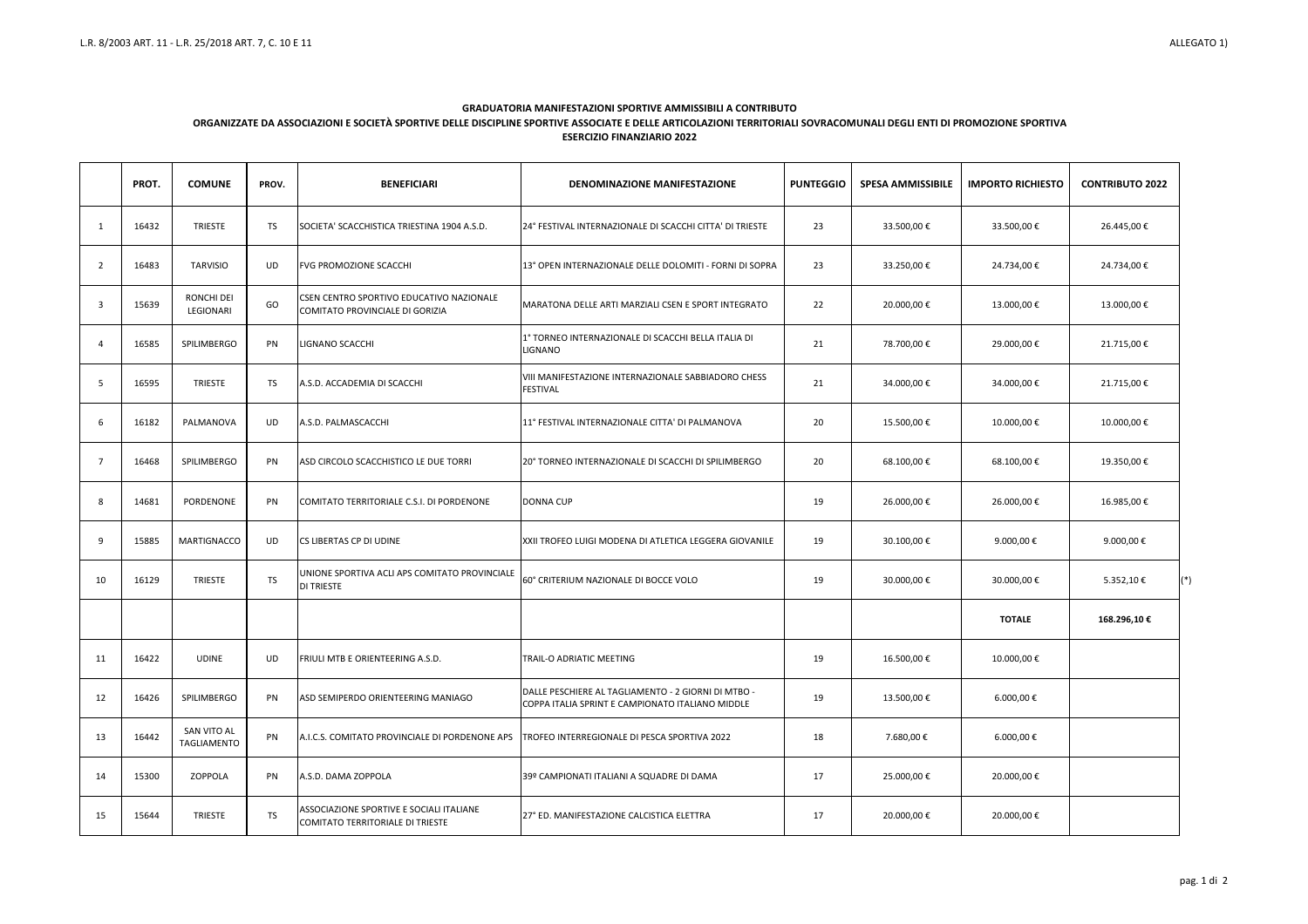|          | PROT. | <b>COMUNE</b>                  | PROV.     | <b>BENEFICIARI</b>                                                           | <b>DENOMINAZIONE MANIFESTAZIONE</b>                                                                     | <b>PUNTEGGIO</b> | <b>SPESA AMMISSIBILE</b> | <b>IMPORTO RICHIESTO</b> | <b>CONTRIBUTO 2022</b> |
|----------|-------|--------------------------------|-----------|------------------------------------------------------------------------------|---------------------------------------------------------------------------------------------------------|------------------|--------------------------|--------------------------|------------------------|
| -1       | 16432 | <b>TRIESTE</b>                 | TS        | SOCIETA' SCACCHISTICA TRIESTINA 1904 A.S.D.                                  | 24° FESTIVAL INTERNAZIONALE DI SCACCHI CITTA' DI TRIESTE                                                | 23               | 33.500,00 €              | 33.500,00€               | 26.445,00 €            |
| 2        | 16483 | <b>TARVISIO</b>                | UD        | <b>FVG PROMOZIONE SCACCHI</b>                                                | 13° OPEN INTERNAZIONALE DELLE DOLOMITI - FORNI DI SOPRA                                                 | 23               | 33.250,00 €              | 24.734,00 €              | 24.734,00€             |
| 3        | 15639 | <b>RONCHI DEI</b><br>LEGIONARI | GO        | CSEN CENTRO SPORTIVO EDUCATIVO NAZIONALE<br>COMITATO PROVINCIALE DI GORIZIA  | MARATONA DELLE ARTI MARZIALI CSEN E SPORT INTEGRATO                                                     | 22               | 20.000,00€               | 13.000,00€               | 13.000,00€             |
| $\Delta$ | 16585 | SPILIMBERGO                    | <b>PN</b> | LIGNANO SCACCHI                                                              | 1° TORNEO INTERNAZIONALE DI SCACCHI BELLA ITALIA DI<br>LIGNANO                                          | 21               | 78.700,00 €              | 29.000,00 €              | 21.715,00€             |
| -5       | 16595 | <b>TRIESTE</b>                 | TS.       | A.S.D. ACCADEMIA DI SCACCHI                                                  | VIII MANIFESTAZIONE INTERNAZIONALE SABBIADORO CHESS<br><b>FESTIVAL</b>                                  | 21               | 34.000,00 €              | 34.000,00 €              | 21.715,00€             |
| -6       | 16182 | PALMANOVA                      | UD        | A.S.D. PALMASCACCHI                                                          | 11° FESTIVAL INTERNAZIONALE CITTA' DI PALMANOVA                                                         | 20               | 15.500,00€               | 10.000,00€               | 10.000,00€             |
| -7       | 16468 | SPILIMBERGO                    | PN        | ASD CIRCOLO SCACCHISTICO LE DUE TORRI                                        | 20° TORNEO INTERNAZIONALE DI SCACCHI DI SPILIMBERGO                                                     | 20               | 68.100,00€               | 68.100,00€               | 19.350,00€             |
| 8        | 14681 | PORDENONE                      | <b>PN</b> | COMITATO TERRITORIALE C.S.I. DI PORDENONE                                    | DONNA CUP                                                                                               | 19               | 26.000,00€               | 26.000,00€               | 16.985,00€             |
| 9        | 15885 | <b>MARTIGNACCO</b>             | UD        | CS LIBERTAS CP DI UDINE                                                      | XXII TROFEO LUIGI MODENA DI ATLETICA LEGGERA GIOVANILE                                                  | 19               | 30.100,00€               | 9.000,00 €               | 9.000,00 €             |
| 10       | 16129 | <b>TRIESTE</b>                 | <b>TS</b> | UNIONE SPORTIVA ACLI APS COMITATO PROVINCIALE<br><b>DI TRIESTE</b>           | 60° CRITERIUM NAZIONALE DI BOCCE VOLO                                                                   | 19               | 30.000,00€               | 30.000,00€               | $(*)$<br>5.352,10€     |
|          |       |                                |           |                                                                              |                                                                                                         |                  |                          | <b>TOTALE</b>            | 168.296,10€            |
| 11       | 16422 | <b>UDINE</b>                   | <b>UD</b> | FRIULI MTB E ORIENTEERING A.S.D.                                             | TRAIL-O ADRIATIC MEETING                                                                                | 19               | 16.500,00€               | 10.000,00€               |                        |
| 12       | 16426 | SPILIMBERGO                    | PN        | ASD SEMIPERDO ORIENTEERING MANIAGO                                           | DALLE PESCHIERE AL TAGLIAMENTO - 2 GIORNI DI MTBO -<br>COPPA ITALIA SPRINT E CAMPIONATO ITALIANO MIDDLE | 19               | 13.500,00€               | 6.000,00 €               |                        |
| 13       | 16442 | SAN VITO AL<br>TAGLIAMENTO     | PN        | A.I.C.S. COMITATO PROVINCIALE DI PORDENONE APS                               | TROFEO INTERREGIONALE DI PESCA SPORTIVA 2022                                                            | 18               | 7.680,00 €               | 6.000,00 €               |                        |
| 14       | 15300 | ZOPPOLA                        | PN        | A.S.D. DAMA ZOPPOLA                                                          | 39º CAMPIONATI ITALIANI A SQUADRE DI DAMA                                                               | 17               | 25.000,00€               | 20.000,00 €              |                        |
| 15       | 15644 | <b>TRIESTE</b>                 | <b>TS</b> | ASSOCIAZIONE SPORTIVE E SOCIALI ITALIANE<br>COMITATO TERRITORIALE DI TRIESTE | 27° ED. MANIFESTAZIONE CALCISTICA ELETTRA                                                               | 17               | 20.000,00€               | 20.000,00 €              |                        |

## **GRADUATORIA MANIFESTAZIONI SPORTIVE AMMISSIBILI A CONTRIBUTO**

## **ORGANIZZATE DA ASSOCIAZIONI E SOCIETÀ SPORTIVE DELLE DISCIPLINE SPORTIVE ASSOCIATE E DELLE ARTICOLAZIONI TERRITORIALI SOVRACOMUNALI DEGLI ENTI DI PROMOZIONE SPORTIVA ESERCIZIO FINANZIARIO 2022**